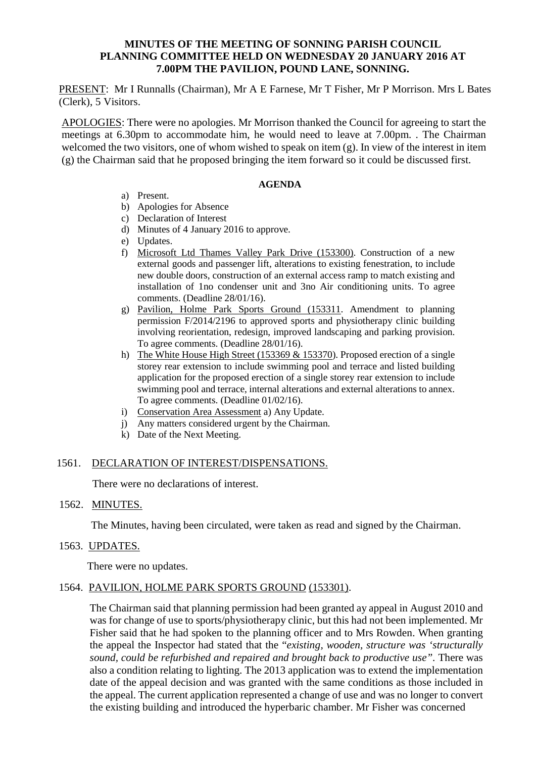## **MINUTES OF THE MEETING OF SONNING PARISH COUNCIL PLANNING COMMITTEE HELD ON WEDNESDAY 20 JANUARY 2016 AT 7.00PM THE PAVILION, POUND LANE, SONNING.**

PRESENT: Mr I Runnalls (Chairman), Mr A E Farnese, Mr T Fisher, Mr P Morrison. Mrs L Bates (Clerk), 5 Visitors.

APOLOGIES: There were no apologies. Mr Morrison thanked the Council for agreeing to start the meetings at 6.30pm to accommodate him, he would need to leave at 7.00pm. . The Chairman welcomed the two visitors, one of whom wished to speak on item (g). In view of the interest in item (g) the Chairman said that he proposed bringing the item forward so it could be discussed first.

#### **AGENDA**

- a) Present.
- b) Apologies for Absence
- c) Declaration of Interest
- d) Minutes of 4 January 2016 to approve.
- e) Updates.
- f) Microsoft Ltd Thames Valley Park Drive (153300). Construction of a new external goods and passenger lift, alterations to existing fenestration, to include new double doors, construction of an external access ramp to match existing and installation of 1no condenser unit and 3no Air conditioning units. To agree comments. (Deadline 28/01/16).
- g) Pavilion, Holme Park Sports Ground (153311. Amendment to planning permission F/2014/2196 to approved sports and physiotherapy clinic building involving reorientation, redesign, improved landscaping and parking provision. To agree comments. (Deadline 28/01/16).
- h) The White House High Street (153369  $& 153370$ ). Proposed erection of a single storey rear extension to include swimming pool and terrace and listed building application for the proposed erection of a single storey rear extension to include swimming pool and terrace, internal alterations and external alterations to annex. To agree comments. (Deadline 01/02/16).
- i) Conservation Area Assessment a) Any Update.
- j) Any matters considered urgent by the Chairman.
- k) Date of the Next Meeting.

## 1561. DECLARATION OF INTEREST/DISPENSATIONS.

There were no declarations of interest.

## 1562. MINUTES.

The Minutes, having been circulated, were taken as read and signed by the Chairman.

## 1563. UPDATES.

There were no updates.

# 1564. PAVILION, HOLME PARK SPORTS GROUND (153301).

The Chairman said that planning permission had been granted ay appeal in August 2010 and was for change of use to sports/physiotherapy clinic, but this had not been implemented. Mr Fisher said that he had spoken to the planning officer and to Mrs Rowden. When granting the appeal the Inspector had stated that the "*existing, wooden, structure was 'structurally sound, could be refurbished and repaired and brought back to productive use".* There was also a condition relating to lighting. The 2013 application was to extend the implementation date of the appeal decision and was granted with the same conditions as those included in the appeal. The current application represented a change of use and was no longer to convert the existing building and introduced the hyperbaric chamber. Mr Fisher was concerned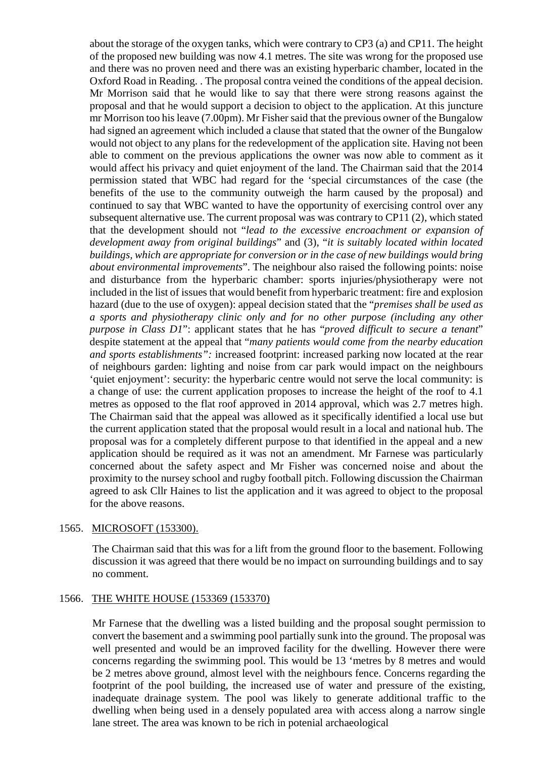about the storage of the oxygen tanks, which were contrary to CP3 (a) and CP11. The height of the proposed new building was now 4.1 metres. The site was wrong for the proposed use and there was no proven need and there was an existing hyperbaric chamber, located in the Oxford Road in Reading. . The proposal contra veined the conditions of the appeal decision. Mr Morrison said that he would like to say that there were strong reasons against the proposal and that he would support a decision to object to the application. At this juncture mr Morrison too his leave (7.00pm). Mr Fisher said that the previous owner of the Bungalow had signed an agreement which included a clause that stated that the owner of the Bungalow would not object to any plans for the redevelopment of the application site. Having not been able to comment on the previous applications the owner was now able to comment as it would affect his privacy and quiet enjoyment of the land. The Chairman said that the 2014 permission stated that WBC had regard for the 'special circumstances of the case (the benefits of the use to the community outweigh the harm caused by the proposal) and continued to say that WBC wanted to have the opportunity of exercising control over any subsequent alternative use. The current proposal was was contrary to CP11 (2), which stated that the development should not "*lead to the excessive encroachment or expansion of development away from original buildings*" and (3), "*it is suitably located within located buildings, which are appropriate for conversion or in the case of new buildings would bring about environmental improvements*". The neighbour also raised the following points: noise and disturbance from the hyperbaric chamber: sports injuries/physiotherapy were not included in the list of issues that would benefit from hyperbaric treatment: fire and explosion hazard (due to the use of oxygen): appeal decision stated that the "*premises shall be used as a sports and physiotherapy clinic only and for no other purpose (including any other purpose in Class D1*": applicant states that he has "*proved difficult to secure a tenant*" despite statement at the appeal that "*many patients would come from the nearby education and sports establishments":* increased footprint: increased parking now located at the rear of neighbours garden: lighting and noise from car park would impact on the neighbours 'quiet enjoyment': security: the hyperbaric centre would not serve the local community: is a change of use: the current application proposes to increase the height of the roof to 4.1 metres as opposed to the flat roof approved in 2014 approval, which was 2.7 metres high. The Chairman said that the appeal was allowed as it specifically identified a local use but the current application stated that the proposal would result in a local and national hub. The proposal was for a completely different purpose to that identified in the appeal and a new application should be required as it was not an amendment. Mr Farnese was particularly concerned about the safety aspect and Mr Fisher was concerned noise and about the proximity to the nursey school and rugby football pitch. Following discussion the Chairman agreed to ask Cllr Haines to list the application and it was agreed to object to the proposal for the above reasons.

#### 1565. MICROSOFT (153300).

The Chairman said that this was for a lift from the ground floor to the basement. Following discussion it was agreed that there would be no impact on surrounding buildings and to say no comment.

#### 1566. THE WHITE HOUSE (153369 (153370)

Mr Farnese that the dwelling was a listed building and the proposal sought permission to convert the basement and a swimming pool partially sunk into the ground. The proposal was well presented and would be an improved facility for the dwelling. However there were concerns regarding the swimming pool. This would be 13 'metres by 8 metres and would be 2 metres above ground, almost level with the neighbours fence. Concerns regarding the footprint of the pool building, the increased use of water and pressure of the existing, inadequate drainage system. The pool was likely to generate additional traffic to the dwelling when being used in a densely populated area with access along a narrow single lane street. The area was known to be rich in potenial archaeological